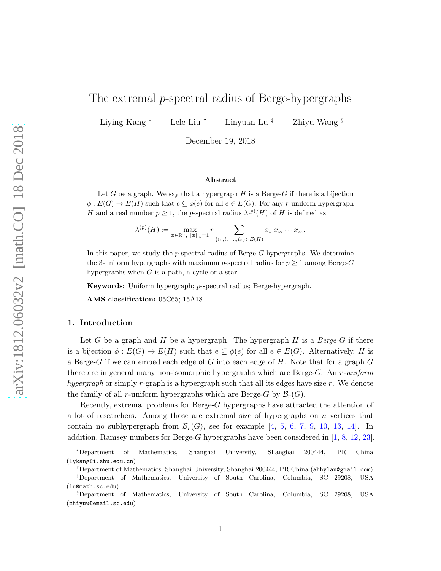# The extremal p-spectral radius of Berge-hypergraphs

Liying Kang <sup>∗</sup> Lele Liu † Linyuan Lu ‡ Zhiyu Wang §

December 19, 2018

#### Abstract

Let G be a graph. We say that a hypergraph  $H$  is a Berge-G if there is a bijection  $\phi: E(G) \to E(H)$  such that  $e \subseteq \phi(e)$  for all  $e \in E(G)$ . For any r-uniform hypergraph H and a real number  $p \geq 1$ , the p-spectral radius  $\lambda^{(p)}(H)$  of H is defined as

$$
\lambda^{(p)}(H) := \max_{\boldsymbol{x} \in \mathbb{R}^n, ||\boldsymbol{x}||_p = 1} r \sum_{\{i_1, i_2, \dots, i_r\} \in E(H)} x_{i_1} x_{i_2} \cdots x_{i_r}.
$$

In this paper, we study the p-spectral radius of Berge-G hypergraphs. We determine the 3-uniform hypergraphs with maximum p-spectral radius for  $p > 1$  among Berge-G hypergraphs when  $G$  is a path, a cycle or a star.

Keywords: Uniform hypergraph; p-spectral radius; Berge-hypergraph.

AMS classification: 05C65; 15A18.

#### 1. Introduction

Let G be a graph and H be a hypergraph. The hypergraph H is a Berge-G if there is a bijection  $\phi: E(G) \to E(H)$  such that  $e \subseteq \phi(e)$  for all  $e \in E(G)$ . Alternatively, H is a Berge-G if we can embed each edge of G into each edge of H. Note that for a graph  $G$ there are in general many non-isomorphic hypergraphs which are Berge-G. An  $r$ -uniform hypergraph or simply r-graph is a hypergraph such that all its edges have size  $r$ . We denote the family of all r-uniform hypergraphs which are Berge-G by  $\mathcal{B}_r(G)$ .

Recently, extremal problems for Berge-G hypergraphs have attracted the attention of a lot of researchers. Among those are extremal size of hypergraphs on  $n$  vertices that contain no subhypergraph from  $\mathcal{B}_r(G)$ , see for example [\[4,](#page-14-0) [5,](#page-14-1) [6,](#page-14-2) [7,](#page-14-3) [9,](#page-14-4) [10,](#page-14-5) [13,](#page-14-6) [14\]](#page-14-7). In addition, Ramsey numbers for Berge-G hypergraphs have been considered in  $[1, 8, 12, 23]$  $[1, 8, 12, 23]$  $[1, 8, 12, 23]$  $[1, 8, 12, 23]$  $[1, 8, 12, 23]$  $[1, 8, 12, 23]$ .

<sup>∗</sup>Department of Mathematics, Shanghai University, Shanghai 200444, PR China (lykang@i.shu.edu.cn)

<sup>†</sup>Department of Mathematics, Shanghai University, Shanghai 200444, PR China (ahhylau@gmail.com) ‡Department of Mathematics, University of South Carolina, Columbia, SC 29208, USA

<sup>(</sup>lu@math.sc.edu)

<sup>§</sup>Department of Mathematics, University of South Carolina, Columbia, SC 29208, USA (zhiyuw@email.sc.edu)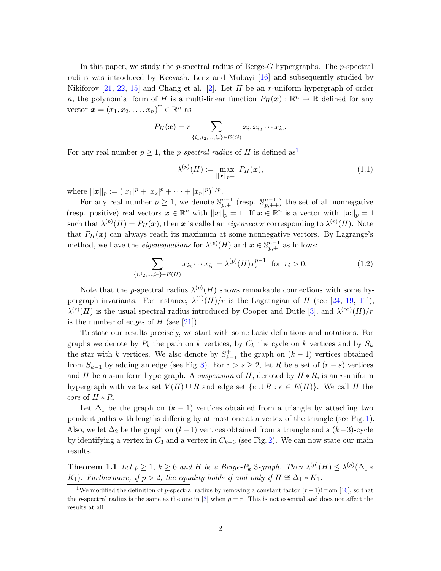In this paper, we study the p-spectral radius of Berge-G hypergraphs. The p-spectral radius was introduced by Keevash, Lenz and Mubayi [\[16\]](#page-14-10) and subsequently studied by Nikiforov  $[21, 22, 15]$  $[21, 22, 15]$  $[21, 22, 15]$  $[21, 22, 15]$  and Chang et al.  $[2]$ . Let H be an r-uniform hypergraph of order n, the polynomial form of H is a multi-linear function  $P_H(x): \mathbb{R}^n \to \mathbb{R}$  defined for any vector  $\boldsymbol{x} = (x_1, x_2, \dots, x_n)^\mathrm{T} \in \mathbb{R}^n$  as

$$
P_H(\boldsymbol{x}) = r \sum_{\{i_1, i_2, \dots, i_r\} \in E(G)} x_{i_1} x_{i_2} \cdots x_{i_r}.
$$

For any real number  $p > 1$  $p > 1$ , the *p-spectral radius* of H is defined as<sup>1</sup>

<span id="page-1-4"></span><span id="page-1-3"></span>
$$
\lambda^{(p)}(H) := \max_{||\mathbf{x}||_p = 1} P_H(\mathbf{x}),\tag{1.1}
$$

where  $||x||_p := (|x_1|^p + |x_2|^p + \cdots + |x_n|^p)^{1/p}$ .

For any real number  $p \geq 1$ , we denote  $\mathbb{S}_{p,+}^{n-1}$  (resp.  $\mathbb{S}_{p,++}^{n-1}$ ) the set of all nonnegative (resp. positive) real vectors  $\boldsymbol{x} \in \mathbb{R}^n$  with  $||\boldsymbol{x}||_p = 1$ . If  $\boldsymbol{x} \in \mathbb{R}^n$  is a vector with  $||\boldsymbol{x}||_p = 1$ such that  $\lambda^{(p)}(H) = P_H(\boldsymbol{x})$ , then  $\boldsymbol{x}$  is called an *eigenvector* corresponding to  $\lambda^{(p)}(H)$ . Note that  $P_H(x)$  can always reach its maximum at some nonnegative vectors. By Lagrange's method, we have the *eigenequations* for  $\lambda^{(p)}(H)$  and  $\boldsymbol{x} \in \mathbb{S}_{p,+}^{n-1}$  as follows:

$$
\sum_{\{i,i_2,\dots,i_r\} \in E(H)} x_{i_2} \cdots x_{i_r} = \lambda^{(p)}(H) x_i^{p-1} \text{ for } x_i > 0.
$$
 (1.2)

Note that the p-spectral radius  $\lambda^{(p)}(H)$  shows remarkable connections with some hypergraph invariants. For instance,  $\lambda^{(1)}(H)/r$  is the Lagrangian of H (see [\[24,](#page-15-3) [19,](#page-15-4) [11\]](#page-14-13)),  $\lambda^{(r)}(H)$  is the usual spectral radius introduced by Cooper and Dutle [\[3\]](#page-14-14), and  $\lambda^{(\infty)}(H)/r$ is the number of edges of  $H$  (see [\[21\]](#page-15-1)).

To state our results precisely, we start with some basic definitions and notations. For graphs we denote by  $P_k$  the path on k vertices, by  $C_k$  the cycle on k vertices and by  $S_k$ the star with k vertices. We also denote by  $S_{k}^+$  $\bar{k}_{k-1}^{+}$  the graph on  $(k-1)$  vertices obtained from  $S_{k-1}$  by adding an edge (see Fig. [3\)](#page-2-0). For  $r > s \geq 2$ , let R be a set of  $(r - s)$  vertices and H be a s-uniform hypergraph. A suspension of H, denoted by  $H * R$ , is an r-uniform hypergraph with vertex set  $V(H) \cup R$  and edge set  $\{e \cup R : e \in E(H)\}\$ . We call H the *core* of  $H * R$ .

Let  $\Delta_1$  be the graph on  $(k-1)$  vertices obtained from a triangle by attaching two pendent paths with lengths differing by at most one at a vertex of the triangle (see Fig. [1\)](#page-2-1). Also, we let  $\Delta_2$  be the graph on  $(k-1)$  vertices obtained from a triangle and a  $(k-3)$ -cycle by identifying a vertex in  $C_3$  and a vertex in  $C_{k-3}$  (see Fig. [2\)](#page-2-2). We can now state our main results.

<span id="page-1-1"></span>**Theorem 1.1** Let  $p \ge 1$ ,  $k \ge 6$  and H be a Berge- $P_k$  3-graph. Then  $\lambda^{(p)}(H) \le \lambda^{(p)}(\Delta_1 *$ K<sub>1</sub>). Furthermore, if  $p > 2$ , the equality holds if and only if  $H \cong \Delta_1 * K_1$ .

<span id="page-1-2"></span><span id="page-1-0"></span><sup>&</sup>lt;sup>1</sup>We modified the definition of p-spectral radius by removing a constant factor  $(r-1)!$  from [\[16\]](#page-14-10), so that the p-spectral radius is the same as the one in  $[3]$  when  $p = r$ . This is not essential and does not affect the results at all.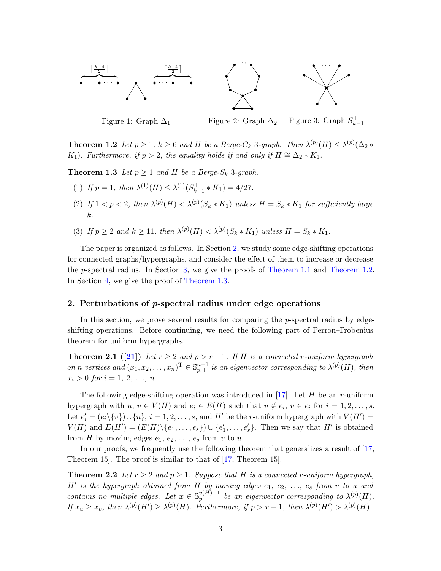

<span id="page-2-2"></span><span id="page-2-1"></span><span id="page-2-0"></span>

Figure 1: Graph  $\Delta_1$  Figure 2: Graph  $\Delta_2$ Figure 3: Graph  $S_{k}^+$  $k-1$ 

**Theorem 1.2** Let  $p \ge 1$ ,  $k \ge 6$  and H be a Berge-C<sub>k</sub> 3-graph. Then  $\lambda^{(p)}(H) \le \lambda^{(p)}(\Delta_2 *$ K<sub>1</sub>). Furthermore, if  $p > 2$ , the equality holds if and only if  $H \cong \Delta_2 * K_1$ .

<span id="page-2-4"></span>**Theorem 1.3** Let  $p \geq 1$  and H be a Berge-S<sub>k</sub> 3-graph.

- (1) If  $p = 1$ , then  $\lambda^{(1)}(H) \leq \lambda^{(1)}(S^+_{k-1})$  $k-1$  \*  $K_1$ ) = 4/27.
- (2) If  $1 < p < 2$ , then  $\lambda^{(p)}(H) < \lambda^{(p)}(S_k * K_1)$  unless  $H = S_k * K_1$  for sufficiently large k.
- (3) If  $p \ge 2$  and  $k \ge 11$ , then  $\lambda^{(p)}(H) < \lambda^{(p)}(S_k * K_1)$  unless  $H = S_k * K_1$ .

The paper is organized as follows. In Section [2,](#page-2-3) we study some edge-shifting operations for connected graphs/hypergraphs, and consider the effect of them to increase or decrease the p-spectral radius. In Section [3,](#page-5-0) we give the proofs of [Theorem 1.1](#page-1-1) and [Theorem 1.2.](#page-1-2) In Section [4,](#page-11-0) we give the proof of [Theorem 1.3.](#page-2-4)

# <span id="page-2-3"></span>2. Perturbations of p-spectral radius under edge operations

In this section, we prove several results for comparing the p-spectral radius by edgeshifting operations. Before continuing, we need the following part of Perron–Frobenius theorem for uniform hypergraphs.

<span id="page-2-5"></span>**Theorem 2.1** ([\[21\]](#page-15-1)) Let  $r \geq 2$  and  $p > r - 1$ . If H is a connected r-uniform hypergraph on n vertices and  $(x_1, x_2, ..., x_n)$ <sup>T</sup>  $\in \mathbb{S}_{p,+}^{n-1}$  is an eigenvector corresponding to  $\lambda^{(p)}(H)$ , then  $x_i > 0$  for  $i = 1, 2, ..., n$ .

The following edge-shifting operation was introduced in [\[17\]](#page-14-15). Let  $H$  be an r-uniform hypergraph with  $u, v \in V(H)$  and  $e_i \in E(H)$  such that  $u \notin e_i, v \in e_i$  for  $i = 1, 2, ..., s$ . Let  $e'_{i} = (e_{i} \setminus \{v\}) \cup \{u\}, i = 1, 2, ..., s$ , and  $H'$  be the *r*-uniform hypergraph with  $V(H') =$  $V(H)$  and  $E(H') = (E(H) \setminus \{e_1, \ldots, e_s\}) \cup \{e'_1, \ldots, e'_s\}$ . Then we say that  $H'$  is obtained from H by moving edges  $e_1, e_2, \ldots, e_s$  from v to u.

<span id="page-2-6"></span>In our proofs, we frequently use the following theorem that generalizes a result of [\[17,](#page-14-15) Theorem 15. The proof is similar to that of  $[17,$  Theorem 15.

**Theorem 2.2** Let  $r \geq 2$  and  $p \geq 1$ . Suppose that H is a connected r-uniform hypergraph,  $H'$  is the hypergraph obtained from  $H$  by moving edges  $e_1, e_2, \ldots, e_s$  from v to u and contains no multiple edges. Let  $\mathbf{x} \in \mathbb{S}_{p,+}^{v(H)-1}$  be an eigenvector corresponding to  $\lambda^{(p)}(H)$ . If  $x_u \ge x_v$ , then  $\lambda^{(p)}(H') \ge \lambda^{(p)}(H)$ . Furthermore, if  $p > r - 1$ , then  $\lambda^{(p)}(H') > \lambda^{(p)}(H)$ .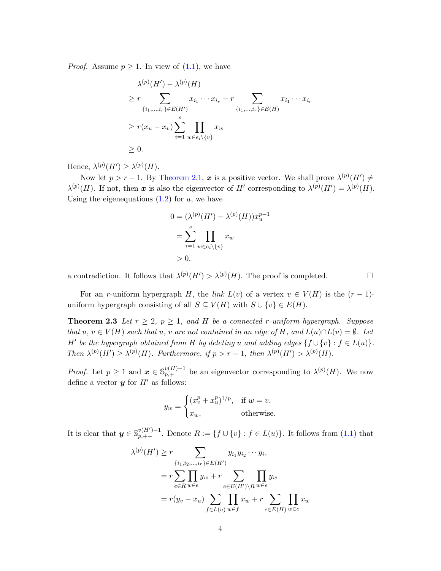*Proof.* Assume  $p \geq 1$ . In view of  $(1.1)$ , we have

$$
\lambda^{(p)}(H') - \lambda^{(p)}(H)
$$
\n
$$
\geq r \sum_{\{i_1,\dots,i_r\} \in E(H')} x_{i_1} \cdots x_{i_r} - r \sum_{\{i_1,\dots,i_r\} \in E(H)} x_{i_1} \cdots x_{i_r}
$$
\n
$$
\geq r(x_u - x_v) \sum_{i=1}^s \prod_{w \in e_i \setminus \{v\}} x_w
$$
\n
$$
\geq 0.
$$

Hence,  $\lambda^{(p)}(H') \geq \lambda^{(p)}(H)$ .

Now let  $p > r - 1$ . By [Theorem 2.1,](#page-2-5) x is a positive vector. We shall prove  $\lambda^{(p)}(H') \neq 0$  $\lambda^{(p)}(H)$ . If not, then x is also the eigenvector of H' corresponding to  $\lambda^{(p)}(H') = \lambda^{(p)}(H)$ . Using the eigenequations  $(1.2)$  for u, we have

$$
0 = (\lambda^{(p)}(H') - \lambda^{(p)}(H))x_u^{p-1}
$$
  
= 
$$
\sum_{i=1}^s \prod_{w \in e_i \setminus \{v\}} x_w
$$
  
> 0,

a contradiction. It follows that  $\lambda^{(p)}(H') > \lambda^{(p)}(H)$ . The proof is completed.

<span id="page-3-0"></span>For an r-uniform hypergraph H, the link  $L(v)$  of a vertex  $v \in V(H)$  is the  $(r-1)$ uniform hypergraph consisting of all  $S \subseteq V(H)$  with  $S \cup \{v\} \in E(H)$ .

**Theorem 2.3** Let  $r \geq 2$ ,  $p \geq 1$ , and H be a connected r-uniform hypergraph. Suppose that  $u, v \in V(H)$  such that  $u, v$  are not contained in an edge of H, and  $L(u) \cap L(v) = \emptyset$ . Let H' be the hypergraph obtained from H by deleting u and adding edges  $\{f \cup \{v\} : f \in L(u)\}.$ Then  $\lambda^{(p)}(H') \geq \lambda^{(p)}(H)$ . Furthermore, if  $p > r - 1$ , then  $\lambda^{(p)}(H') > \lambda^{(p)}(H)$ .

*Proof.* Let  $p \geq 1$  and  $\boldsymbol{x} \in \mathbb{S}_{p,+}^{v(H)-1}$  be an eigenvector corresponding to  $\lambda^{(p)}(H)$ . We now define a vector  $y$  for  $H'$  as follows:

$$
y_w = \begin{cases} (x_v^p + x_u^p)^{1/p}, & \text{if } w = v, \\ x_w, & \text{otherwise.} \end{cases}
$$

It is clear that  $y \in \mathbb{S}_{p,++}^{v(H')-1}$ . Denote  $R := \{f \cup \{v\} : f \in L(u)\}$ . It follows from  $(1.1)$  that

$$
\lambda^{(p)}(H') \ge r \sum_{\{i_1, i_2, \dots, i_r\} \in E(H')} y_{i_1} y_{i_2} \cdots y_{i_r}
$$
  
=  $r \sum_{e \in R} \prod_{w \in e} y_w + r \sum_{e \in E(H') \setminus R} \prod_{w \in e} y_w$   
=  $r(y_v - x_u) \sum_{f \in L(u)} \prod_{w \in f} x_w + r \sum_{e \in E(H)} \prod_{w \in e} x_w$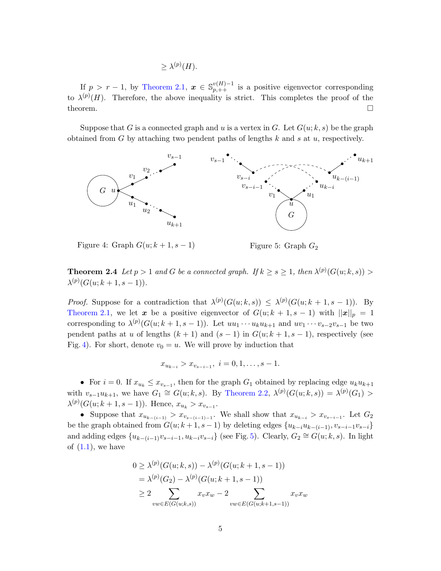$$
\geq \lambda^{(p)}(H).
$$

If  $p > r - 1$ , by [Theorem 2.1,](#page-2-5)  $\boldsymbol{x} \in \mathbb{S}_{p,++}^{v(H)-1}$  is a positive eigenvector corresponding to  $\lambda^{(p)}(H)$ . Therefore, the above inequality is strict. This completes the proof of the theorem.  $\Box$ 

Suppose that G is a connected graph and u is a vertex in G. Let  $G(u; k, s)$  be the graph obtained from  $G$  by attaching two pendent paths of lengths  $k$  and  $s$  at  $u$ , respectively.



<span id="page-4-2"></span><span id="page-4-0"></span>Figure 4: Graph  $G(u; k+1, s-1)$ 

<span id="page-4-1"></span>Figure 5: Graph  $G_2$ 

**Theorem 2.4** Let  $p > 1$  and G be a connected graph. If  $k \geq s \geq 1$ , then  $\lambda^{(p)}(G(u; k, s)) >$  $\lambda^{(p)}(G(u;k+1,s-1)).$ 

*Proof.* Suppose for a contradiction that  $\lambda^{(p)}(G(u;k,s)) \leq \lambda^{(p)}(G(u;k+1,s-1))$ . By [Theorem 2.1,](#page-2-5) we let x be a positive eigenvector of  $G(u; k + 1, s - 1)$  with  $||x||_p = 1$ corresponding to  $\lambda^{(p)}(G(u;k+1,s-1))$ . Let  $uu_1\cdots u_ku_{k+1}$  and  $uv_1\cdots v_{s-2}v_{s-1}$  be two pendent paths at u of lengths  $(k + 1)$  and  $(s - 1)$  in  $G(u; k + 1, s - 1)$ , respectively (see Fig. [4\)](#page-4-0). For short, denote  $v_0 = u$ . We will prove by induction that

$$
x_{u_{k-i}} > x_{v_{s-i-1}}, \ i = 0, 1, \ldots, s-1.
$$

• For  $i = 0$ . If  $x_{u_k} \leq x_{v_{s-1}}$ , then for the graph  $G_1$  obtained by replacing edge  $u_k u_{k+1}$ with  $v_{s-1}u_{k+1}$ , we have  $G_1 \cong G(u;k,s)$ . By [Theorem 2.2,](#page-2-6)  $\lambda^{(p)}(G(u;k,s)) = \lambda^{(p)}(G_1)$  $\lambda^{(p)}(G(u;k+1,s-1))$ . Hence,  $x_{u_k} > x_{v_{s-1}}$ .

• Suppose that  $x_{u_{k-(i-1)}} > x_{v_{s-(i-1)-1}}$ . We shall show that  $x_{u_{k-i}} > x_{v_{s-i-1}}$ . Let  $G_2$ be the graph obtained from  $G(u; k+1, s-1)$  by deleting edges  $\{u_{k-i}u_{k-(i-1)}, v_{s-i-1}v_{s-i}\}$ and adding edges  $\{u_{k-(i-1)}v_{s-i-1}, u_{k-i}v_{s-i}\}$  (see Fig. [5\)](#page-4-1). Clearly,  $G_2 \cong G(u;k,s)$ . In light of  $(1.1)$ , we have

$$
0 \geq \lambda^{(p)}(G(u;k,s)) - \lambda^{(p)}(G(u;k+1,s-1))
$$
  
=  $\lambda^{(p)}(G_2) - \lambda^{(p)}(G(u;k+1,s-1))$   
 $\geq 2 \sum_{vw \in E(G(u;k,s))} x_v x_w - 2 \sum_{vw \in E(G(u;k+1,s-1))} x_v x_w$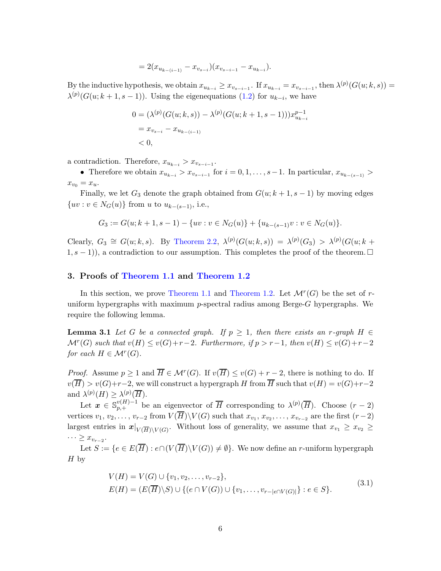$$
= 2(x_{u_{k-(i-1)}} - x_{v_{s-i}})(x_{v_{s-i-1}} - x_{u_{k-i}}).
$$

By the inductive hypothesis, we obtain  $x_{u_{k-i}} \ge x_{v_{s-i-1}}$ . If  $x_{u_{k-i}} = x_{v_{s-i-1}}$ , then  $\lambda^{(p)}(G(u; k, s)) =$  $\lambda^{(p)}(G(u;k+1,s-1))$ . Using the eigenequations [\(1.2\)](#page-1-4) for  $u_{k-i}$ , we have

$$
0 = (\lambda^{(p)}(G(u;k,s)) - \lambda^{(p)}(G(u;k+1,s-1)))x_{u_{k-i}}^{p-1}
$$
  
=  $x_{v_{s-i}} - x_{u_{k-(i-1)}}$   
< 0,

a contradiction. Therefore,  $x_{u_{k-i}} > x_{v_{s-i-1}}$ .

• Therefore we obtain  $x_{u_{k-i}} > x_{v_{s-i-1}}$  for  $i = 0, 1, \ldots, s-1$ . In particular,  $x_{u_{k-(s-1)}} >$  $x_{v0} = x_u.$ 

Finally, we let  $G_3$  denote the graph obtained from  $G(u; k + 1, s - 1)$  by moving edges  $\{uv : v \in N_G(u)\}$  from u to  $u_{k-(s-1)}$ , i.e.,

$$
G_3 := G(u; k+1, s-1) - \{uv : v \in N_G(u)\} + \{u_{k-(s-1)}v : v \in N_G(u)\}.
$$

Clearly,  $G_3 \cong G(u;k,s)$ . By [Theorem 2.2,](#page-2-6)  $\lambda^{(p)}(G(u;k,s)) = \lambda^{(p)}(G_3) > \lambda^{(p)}(G(u;k+$  $(1, s - 1)$ , a contradiction to our assumption. This completes the proof of the theorem.  $\Box$ 

#### <span id="page-5-0"></span>3. Proofs of [Theorem 1.1](#page-1-1) and [Theorem 1.2](#page-1-2)

In this section, we prove [Theorem 1.1](#page-1-1) and [Theorem 1.2.](#page-1-2) Let  $\mathcal{M}^r(G)$  be the set of runiform hypergraphs with maximum p-spectral radius among Berge-G hypergraphs. We require the following lemma.

<span id="page-5-2"></span>**Lemma 3.1** Let G be a connected graph. If  $p \geq 1$ , then there exists an r-graph H  $\in$  $\mathcal{M}^r(G)$  such that  $v(H) \le v(G)+r-2$ . Furthermore, if  $p > r-1$ , then  $v(H) \le v(G)+r-2$ for each  $H \in \mathcal{M}^r(G)$ .

*Proof.* Assume  $p \geq 1$  and  $\overline{H} \in \mathcal{M}^r(G)$ . If  $v(\overline{H}) \leq v(G) + r - 2$ , there is nothing to do. If  $v(\overline{H}) > v(G)+r-2$ , we will construct a hypergraph H from  $\overline{H}$  such that  $v(H) = v(G)+r-2$ and  $\lambda^{(p)}(H) \geq \lambda^{(p)}(\overline{H}).$ 

Let  $x \in \mathbb{S}_{p,+}^{v(H)-1}$  be an eigenvector of  $\overline{H}$  corresponding to  $\lambda^{(p)}(\overline{H})$ . Choose  $(r-2)$ vertices  $v_1, v_2, \ldots, v_{r-2}$  from  $V(H)\backslash V(G)$  such that  $x_{v_1}, x_{v_2}, \ldots, x_{v_{r-2}}$  are the first  $(r-2)$ largest entries in  $x|_{V(\overline{H})\setminus V(G)}$ . Without loss of generality, we assume that  $x_{v_1} \geq x_{v_2} \geq$  $\cdots \geq x_{v_{r-2}}$ .

<span id="page-5-1"></span>Let  $S := \{e \in E(\overline{H}) : e \cap (V(\overline{H}) \setminus V(G)) \neq \emptyset\}$ . We now define an *r*-uniform hypergraph  $H<sub>by</sub>$ 

$$
V(H) = V(G) \cup \{v_1, v_2, \dots, v_{r-2}\},
$$
  
\n
$$
E(H) = (E(\overline{H}) \setminus S) \cup \{(e \cap V(G)) \cup \{v_1, \dots, v_{r-|e \cap V(G)|}\} : e \in S\}.
$$
\n(3.1)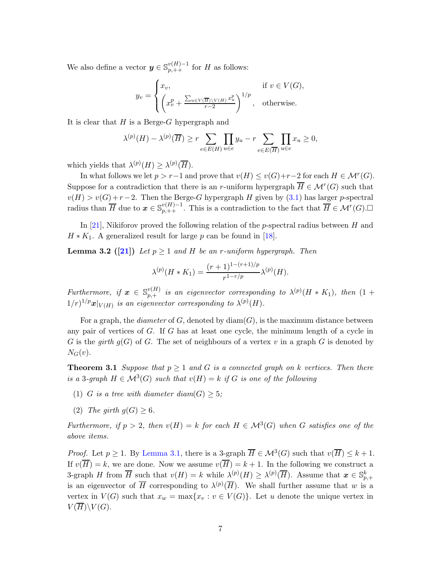We also define a vector  $y \in \mathbb{S}_{p,++}^{v(H)-1}$  for H as follows:

$$
y_v = \begin{cases} x_v, & \text{if } v \in V(G), \\ \left(x_v^p + \frac{\sum_{u \in V(\overline{H}) \setminus V(H)} x_u^p}{r-2}\right)^{1/p}, & \text{otherwise.} \end{cases}
$$

It is clear that  $H$  is a Berge- $G$  hypergraph and

$$
\lambda^{(p)}(H) - \lambda^{(p)}(\overline{H}) \ge r \sum_{e \in E(H)} \prod_{u \in e} y_u - r \sum_{e \in E(\overline{H})} \prod_{u \in e} x_u \ge 0,
$$

which yields that  $\lambda^{(p)}(H) \geq \lambda^{(p)}(\overline{H}).$ 

In what follows we let  $p > r-1$  and prove that  $v(H) \le v(G)+r-2$  for each  $H \in \mathcal{M}^r(G)$ . Suppose for a contradiction that there is an *r*-uniform hypergraph  $\overline{H} \in \mathcal{M}^r(G)$  such that  $v(H) > v(G) + r - 2$ . Then the Berge-G hypergraph H given by [\(3.1\)](#page-5-1) has larger p-spectral radius than  $\overline{H}$  due to  $\mathbf{x} \in \mathbb{S}_{p,++}^{v(H)-1}$ . This is a contradiction to the fact that  $\overline{H} \in \mathcal{M}^r(G)$ .

<span id="page-6-1"></span>In [\[21\]](#page-15-1), Nikiforov proved the following relation of the p-spectral radius between  $H$  and  $H * K_1$ . A generalized result for large p can be found in [\[18\]](#page-15-5).

**Lemma 3.2** ([\[21\]](#page-15-1)) Let  $p \ge 1$  and H be an r-uniform hypergraph. Then

$$
\lambda^{(p)}(H * K_1) = \frac{(r+1)^{1-(r+1)/p}}{r^{1-r/p}} \lambda^{(p)}(H).
$$

Furthermore, if  $\boldsymbol{x} \in \mathbb{S}_{p,+}^{v(H)}$  is an eigenvector corresponding to  $\lambda^{(p)}(H \ast K_1)$ , then  $(1 +$  $1/r)^{1/p}$ **x** $|_{V(H)}$  is an eigenvector corresponding to  $\lambda^{(p)}(H)$ .

For a graph, the *diameter* of  $G$ , denoted by  $\text{diam}(G)$ , is the maximum distance between any pair of vertices of G. If G has at least one cycle, the minimum length of a cycle in G is the girth  $q(G)$  of G. The set of neighbours of a vertex v in a graph G is denoted by  $N_G(v)$ .

**Theorem 3.1** Suppose that  $p \geq 1$  and G is a connected graph on k vertices. Then there is a 3-graph  $H \in \mathcal{M}^3(G)$  such that  $v(H) = k$  if G is one of the following

- (1) G is a tree with diameter diam(G)  $\geq$  5;
- (2) The girth  $g(G) \geq 6$ .

Furthermore, if  $p > 2$ , then  $v(H) = k$  for each  $H \in \mathcal{M}^3(G)$  when G satisfies one of the above items.

<span id="page-6-0"></span>*Proof.* Let  $p \ge 1$ . By [Lemma 3.1,](#page-5-2) there is a 3-graph  $\overline{H} \in \mathcal{M}^3(G)$  such that  $v(\overline{H}) \le k+1$ . If  $v(\overline{H}) = k$ , we are done. Now we assume  $v(\overline{H}) = k + 1$ . In the following we construct a 3-graph H from  $\overline{H}$  such that  $v(H) = k$  while  $\lambda^{(p)}(H) \geq \lambda^{(p)}(\overline{H})$ . Assume that  $x \in \mathbb{S}_{p,+}^k$ is an eigenvector of  $\overline{H}$  corresponding to  $\lambda^{(p)}(\overline{H})$ . We shall further assume that w is a vertex in  $V(G)$  such that  $x_w = \max\{x_v : v \in V(G)\}\)$ . Let u denote the unique vertex in  $V(\overline{H})\backslash V(G).$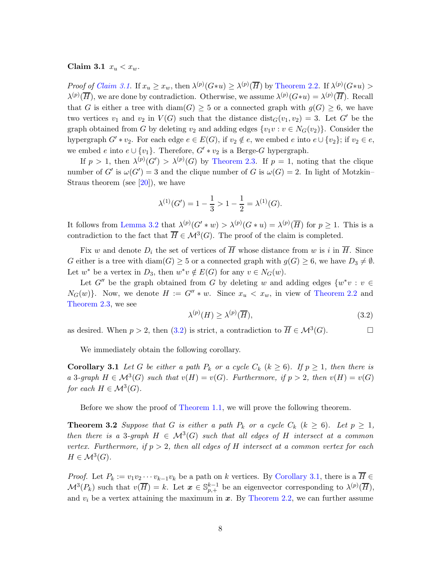Claim 3.1  $x_u < x_w$ .

Proof of [Claim 3.1](#page-6-0). If  $x_u \geq x_w$ , then  $\lambda^{(p)}(G*u) \geq \lambda^{(p)}(\overline{H})$  by [Theorem 2.2.](#page-2-6) If  $\lambda^{(p)}(G*u) >$  $\lambda^{(p)}(\overline{H})$ , we are done by contradiction. Otherwise, we assume  $\lambda^{(p)}(G*u) = \lambda^{(p)}(\overline{H})$ . Recall that G is either a tree with  $\text{diam}(G) \geq 5$  or a connected graph with  $q(G) \geq 6$ , we have two vertices  $v_1$  and  $v_2$  in  $V(G)$  such that the distance  $dist_G(v_1, v_2) = 3$ . Let G' be the graph obtained from G by deleting  $v_2$  and adding edges  $\{v_1v : v \in N_G(v_2)\}\)$ . Consider the hypergraph  $G' * v_2$ . For each edge  $e \in E(G)$ , if  $v_2 \notin e$ , we embed e into  $e \cup \{v_2\}$ ; if  $v_2 \in e$ , we embed e into  $e \cup \{v_1\}$ . Therefore,  $G' * v_2$  is a Berge-G hypergraph.

If  $p > 1$ , then  $\lambda^{(p)}(G') > \lambda^{(p)}(G)$  by [Theorem 2.3.](#page-3-0) If  $p = 1$ , noting that the clique number of G' is  $\omega(G') = 3$  and the clique number of G is  $\omega(G) = 2$ . In light of Motzkin– Straus theorem (see  $[20]$ ), we have

$$
\lambda^{(1)}(G') = 1 - \frac{1}{3} > 1 - \frac{1}{2} = \lambda^{(1)}(G).
$$

It follows from [Lemma 3.2](#page-6-1) that  $\lambda^{(p)}(G' * w) > \lambda^{(p)}(G * u) = \lambda^{(p)}(\overline{H})$  for  $p \ge 1$ . This is a contradiction to the fact that  $\overline{H} \in M^3(G)$ . The proof of the claim is completed.

Fix w and denote  $D_i$  the set of vertices of  $\overline{H}$  whose distance from w is i in  $\overline{H}$ . Since G either is a tree with  $\text{diam}(G) \geq 5$  or a connected graph with  $g(G) \geq 6$ , we have  $D_3 \neq \emptyset$ . Let  $w^*$  be a vertex in  $D_3$ , then  $w^*v \notin E(G)$  for any  $v \in N_G(w)$ .

Let  $G''$  be the graph obtained from G by deleting w and adding edges  $\{w^*v : v \in$  $N_G(w)$ . Now, we denote  $H := G'' * w$ . Since  $x_u < x_w$ , in view of [Theorem 2.2](#page-2-6) and [Theorem 2.3,](#page-3-0) we see

<span id="page-7-0"></span>
$$
\lambda^{(p)}(H) \ge \lambda^{(p)}(\overline{H}),\tag{3.2}
$$

as desired. When  $p > 2$ , then [\(3.2\)](#page-7-0) is strict, a contradiction to  $\overline{H} \in \mathcal{M}^3(G)$ .

<span id="page-7-1"></span>We immediately obtain the following corollary.

**Corollary 3.1** Let G be either a path  $P_k$  or a cycle  $C_k$  ( $k \ge 6$ ). If  $p \ge 1$ , then there is a 3-graph  $H \in \mathcal{M}^3(G)$  such that  $v(H) = v(G)$ . Furthermore, if  $p > 2$ , then  $v(H) = v(G)$ for each  $H \in \mathcal{M}^3(G)$ .

<span id="page-7-2"></span>Before we show the proof of [Theorem 1.1,](#page-1-1) we will prove the following theorem.

**Theorem 3.2** Suppose that G is either a path  $P_k$  or a cycle  $C_k$  ( $k \ge 6$ ). Let  $p \ge 1$ , then there is a 3-graph  $H \in \mathcal{M}^3(G)$  such that all edges of H intersect at a common vertex. Furthermore, if  $p > 2$ , then all edges of H intersect at a common vertex for each  $H \in \mathcal{M}^3(G).$ 

*Proof.* Let  $P_k := v_1v_2\cdots v_{k-1}v_k$  be a path on k vertices. By [Corollary 3.1,](#page-7-1) there is a  $\overline{H} \in$  $\mathcal{M}^{3}(P_{k})$  such that  $v(\overline{H})=k$ . Let  $\boldsymbol{x} \in \mathbb{S}_{p,+}^{k-1}$  be an eigenvector corresponding to  $\lambda^{(p)}(\overline{H})$ , and  $v_i$  be a vertex attaining the maximum in  $x$ . By [Theorem 2.2,](#page-2-6) we can further assume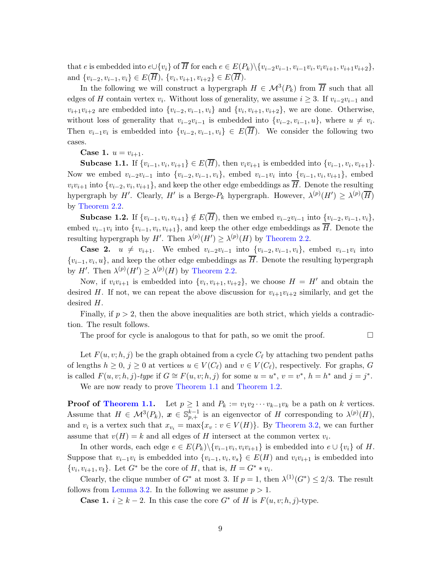that e is embedded into  $e \cup \{v_i\}$  of H for each  $e \in E(P_k) \setminus \{v_{i-2}v_{i-1}, v_{i-1}v_i, v_iv_{i+1}, v_{i+1}v_{i+2}\},\$ and  $\{v_{i-2}, v_{i-1}, v_i\} \in E(H)$ ,  $\{v_i, v_{i+1}, v_{i+2}\} \in E(H)$ .

In the following we will construct a hypergraph  $H \in \mathcal{M}^3(P_k)$  from  $\overline{H}$  such that all edges of H contain vertex  $v_i$ . Without loss of generality, we assume  $i \geq 3$ . If  $v_{i-2}v_{i-1}$  and  $v_{i+1}v_{i+2}$  are embedded into  $\{v_{i-2}, v_{i-1}, v_i\}$  and  $\{v_i, v_{i+1}, v_{i+2}\}$ , we are done. Otherwise, without loss of generality that  $v_{i-2}v_{i-1}$  is embedded into  $\{v_{i-2}, v_{i-1}, u\}$ , where  $u \neq v_i$ . Then  $v_{i-1}v_i$  is embedded into  $\{v_{i-2}, v_{i-1}, v_i\} \in E(H)$ . We consider the following two cases.

**Case 1.**  $u = v_{i+1}$ .

Subcase 1.1. If  $\{v_{i-1}, v_i, v_{i+1}\} \in E(H)$ , then  $v_i v_{i+1}$  is embedded into  $\{v_{i-1}, v_i, v_{i+1}\}$ . Now we embed  $v_{i-2}v_{i-1}$  into  $\{v_{i-2}, v_{i-1}, v_i\}$ , embed  $v_{i-1}v_i$  into  $\{v_{i-1}, v_i, v_{i+1}\}$ , embed  $v_i v_{i+1}$  into  $\{v_{i-2}, v_i, v_{i+1}\}$ , and keep the other edge embeddings as H. Denote the resulting hypergraph by H'. Clearly, H' is a Berge- $P_k$  hypergraph. However,  $\lambda^{(p)}(H') \geq \lambda^{(p)}(\overline{H})$ by [Theorem 2.2.](#page-2-6)

Subcase 1.2. If  $\{v_{i-1}, v_i, v_{i+1}\} \notin E(H)$ , then we embed  $v_{i-2}v_{i-1}$  into  $\underline{\{v_{i-2}, v_{i-1}, v_i\}}$ , embed  $v_{i-1}v_i$  into  $\{v_{i-1}, v_i, v_{i+1}\}$ , and keep the other edge embeddings as H. Denote the resulting hypergraph by  $H'$ . Then  $\lambda^{(p)}(H') \geq \lambda^{(p)}(H)$  by [Theorem 2.2.](#page-2-6)

**Case 2.**  $u \neq v_{i+1}$ . We embed  $v_{i-2}v_{i-1}$  into  $\{v_{i-2}, v_{i-1}, v_i\}$ , embed  $v_{i-1}v_i$  into  $\{v_{i-1}, v_i, u\}$ , and keep the other edge embeddings as H. Denote the resulting hypergraph by  $H'$ . Then  $\lambda^{(p)}(H') \geq \lambda^{(p)}(H)$  by [Theorem 2.2.](#page-2-6)

Now, if  $v_i v_{i+1}$  is embedded into  $\{v_i, v_{i+1}, v_{i+2}\}$ , we choose  $H = H'$  and obtain the desired H. If not, we can repeat the above discussion for  $v_{i+1}v_{i+2}$  similarly, and get the desired H.

Finally, if  $p > 2$ , then the above inequalities are both strict, which yields a contradiction. The result follows.

The proof for cycle is analogous to that for path, so we omit the proof.  $\Box$ 

Let  $F(u, v; h, j)$  be the graph obtained from a cycle  $C_{\ell}$  by attaching two pendent paths of lengths  $h \geq 0$ ,  $j \geq 0$  at vertices  $u \in V(C_{\ell})$  and  $v \in V(C_{\ell})$ , respectively. For graphs, G is called  $F(u, v; h, j)$ -type if  $G \cong F(u, v; h, j)$  for some  $u = u^*, v = v^*, h = h^*$  and  $j = j^*$ .

We are now ready to prove [Theorem 1.1](#page-1-1) and [Theorem 1.2.](#page-1-2)

**Proof of [Theorem 1.1.](#page-1-1)** Let  $p \ge 1$  and  $P_k := v_1v_2 \cdots v_{k-1}v_k$  be a path on k vertices. Assume that  $H \in \mathcal{M}^3(P_k)$ ,  $x \in \mathbb{S}_{p,+}^{k-1}$  is an eigenvector of H corresponding to  $\lambda^{(p)}(H)$ , and  $v_i$  is a vertex such that  $x_{v_i} = \max\{x_v : v \in V(H)\}\)$ . By [Theorem 3.2,](#page-7-2) we can further assume that  $v(H) = k$  and all edges of H intersect at the common vertex  $v_i$ .

In other words, each edge  $e \in E(P_k) \setminus \{v_{i-1}v_i, v_iv_{i+1}\}$  is embedded into  $e \cup \{v_i\}$  of H. Suppose that  $v_{i-1}v_i$  is embedded into  $\{v_{i-1}, v_i, v_s\} \in E(H)$  and  $v_i v_{i+1}$  is embedded into  $\{v_i, v_{i+1}, v_t\}$ . Let  $G^*$  be the core of H, that is,  $H = G^* * v_i$ .

Clearly, the clique number of  $G^*$  at most 3. If  $p = 1$ , then  $\lambda^{(1)}(G^*) \leq 2/3$ . The result follows from [Lemma 3.2.](#page-6-1) In the following we assume  $p > 1$ .

**Case 1.**  $i \geq k-2$ . In this case the core  $G^*$  of H is  $F(u, v; h, j)$ -type.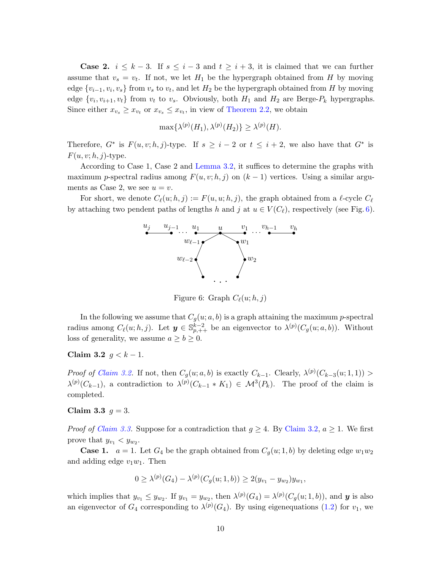**Case 2.**  $i \leq k-3$ . If  $s \leq i-3$  and  $t \geq i+3$ , it is claimed that we can further assume that  $v_s = v_t$ . If not, we let  $H_1$  be the hypergraph obtained from H by moving edge  $\{v_{i-1}, v_i, v_s\}$  from  $v_s$  to  $v_t$ , and let  $H_2$  be the hypergraph obtained from H by moving edge  $\{v_i, v_{i+1}, v_t\}$  from  $v_t$  to  $v_s$ . Obviously, both  $H_1$  and  $H_2$  are Berge- $P_k$  hypergraphs. Since either  $x_{v_s} \geq x_{v_t}$  or  $x_{v_s} \leq x_{v_t}$ , in view of [Theorem 2.2,](#page-2-6) we obtain

$$
\max\{\lambda^{(p)}(H_1),\lambda^{(p)}(H_2)\}\geq \lambda^{(p)}(H).
$$

Therefore,  $G^*$  is  $F(u, v; h, j)$ -type. If  $s \geq i - 2$  or  $t \leq i + 2$ , we also have that  $G^*$  is  $F(u, v; h, j)$ -type.

According to Case 1, Case 2 and [Lemma 3.2,](#page-6-1) it suffices to determine the graphs with maximum p-spectral radius among  $F(u, v; h, j)$  on  $(k - 1)$  vertices. Using a similar arguments as Case 2, we see  $u = v$ .

For short, we denote  $C_{\ell}(u; h, j) := F(u, u; h, j)$ , the graph obtained from a  $\ell$ -cycle  $C_{\ell}$ by attaching two pendent paths of lengths h and j at  $u \in V(C_{\ell})$ , respectively (see Fig. [6\)](#page-9-0).



<span id="page-9-0"></span>Figure 6: Graph  $C_{\ell}(u; h, j)$ 

In the following we assume that  $C_g(u; a, b)$  is a graph attaining the maximum p-spectral radius among  $C_{\ell}(u;h,j)$ . Let  $y \in \mathbb{S}_{p,++}^{k-2}$  be an eigenvector to  $\lambda^{(p)}(C_g(u;a,b))$ . Without loss of generality, we assume  $a \ge b \ge 0$ .

### <span id="page-9-1"></span>Claim 3.2  $g < k - 1$ .

*Proof of [Claim 3.2.](#page-9-1)* If not, then  $C_g(u; a, b)$  is exactly  $C_{k-1}$ . Clearly,  $\lambda^{(p)}(C_{k-3}(u; 1, 1))$  $\lambda^{(p)}(C_{k-1}),$  a contradiction to  $\lambda^{(p)}(C_{k-1} * K_1) \in \mathcal{M}^3(P_k)$ . The proof of the claim is completed.

#### <span id="page-9-2"></span>Claim 3.3  $q = 3$ .

*Proof of [Claim 3.3.](#page-9-2)* Suppose for a contradiction that  $g \geq 4$ . By [Claim 3.2,](#page-9-1)  $a \geq 1$ . We first prove that  $y_{v_1} < y_{w_2}$ .

**Case 1.**  $a = 1$ . Let  $G_4$  be the graph obtained from  $C_g(u; 1, b)$  by deleting edge  $w_1w_2$ and adding edge  $v_1w_1$ . Then

$$
0 \geq \lambda^{(p)}(G_4) - \lambda^{(p)}(C_g(u; 1, b)) \geq 2(y_{v_1} - y_{w_2})y_{w_1},
$$

which implies that  $y_{v_1} \leq y_{w_2}$ . If  $y_{v_1} = y_{w_2}$ , then  $\lambda^{(p)}(G_4) = \lambda^{(p)}(C_g(u; 1, b))$ , and **y** is also an eigenvector of  $G_4$  corresponding to  $\lambda^{(p)}(G_4)$ . By using eigenequations [\(1.2\)](#page-1-4) for  $v_1$ , we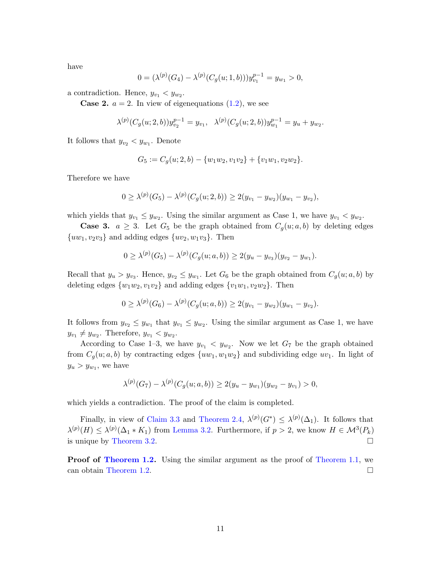have

$$
0 = (\lambda^{(p)}(G_4) - \lambda^{(p)}(C_g(u; 1, b)))y_{v_1}^{p-1} = y_{w_1} > 0,
$$

a contradiction. Hence,  $y_{v_1} < y_{w_2}$ .

**Case 2.**  $a = 2$ . In view of eigenequations  $(1.2)$ , we see

$$
\lambda^{(p)}(C_g(u; 2, b))y_{v_2}^{p-1} = y_{v_1}, \ \ \lambda^{(p)}(C_g(u; 2, b))y_{w_1}^{p-1} = y_u + y_{w_2}.
$$

It follows that  $y_{v_2} < y_{w_1}$ . Denote

$$
G_5 := C_g(u; 2, b) - \{w_1w_2, v_1v_2\} + \{v_1w_1, v_2w_2\}.
$$

Therefore we have

$$
0 \geq \lambda^{(p)}(G_5) - \lambda^{(p)}(C_g(u; 2, b)) \geq 2(y_{v_1} - y_{w_2})(y_{w_1} - y_{v_2}),
$$

which yields that  $y_{v_1} \leq y_{w_2}$ . Using the similar argument as Case 1, we have  $y_{v_1} < y_{w_2}$ .

**Case 3.**  $a \geq 3$ . Let  $G_5$  be the graph obtained from  $C_g(u; a, b)$  by deleting edges  ${uw_1, v_2v_3}$  and adding edges  ${uv_2, w_1v_3}$ . Then

$$
0 \geq \lambda^{(p)}(G_5) - \lambda^{(p)}(C_g(u;a,b)) \geq 2(y_u - y_{v_3})(y_{v_2} - y_{w_1}).
$$

Recall that  $y_u > y_{v_3}$ . Hence,  $y_{v_2} \leq y_{w_1}$ . Let  $G_6$  be the graph obtained from  $C_g(u; a, b)$  by deleting edges  $\{w_1w_2, v_1v_2\}$  and adding edges  $\{v_1w_1, v_2w_2\}$ . Then

$$
0 \geq \lambda^{(p)}(G_6) - \lambda^{(p)}(C_g(u;a,b)) \geq 2(y_{v_1} - y_{w_2})(y_{w_1} - y_{v_2}).
$$

It follows from  $y_{v_2} \leq y_{w_1}$  that  $y_{v_1} \leq y_{w_2}$ . Using the similar argument as Case 1, we have  $y_{v_1} \neq y_{w_2}$ . Therefore,  $y_{v_1} < y_{w_2}$ .

According to Case 1–3, we have  $y_{v_1} < y_{w_2}$ . Now we let  $G_7$  be the graph obtained from  $C_g(u; a, b)$  by contracting edges  $\{uw_1, w_1w_2\}$  and subdividing edge  $uv_1$ . In light of  $y_u > y_{w_1}$ , we have

$$
\lambda^{(p)}(G_7)-\lambda^{(p)}(C_g(u;a,b))\geq 2(y_u-y_{w_1})(y_{w_2}-y_{v_1})>0,
$$

which yields a contradiction. The proof of the claim is completed.

Finally, in view of [Claim 3.3](#page-9-2) and [Theorem 2.4,](#page-4-2)  $\lambda^{(p)}(G^*) \leq \lambda^{(p)}(\Delta_1)$ . It follows that  $\lambda^{(p)}(H) \leq \lambda^{(p)}(\Delta_1 * K_1)$  from [Lemma 3.2.](#page-6-1) Furthermore, if  $p > 2$ , we know  $H \in \mathcal{M}^3(P_k)$ is unique by [Theorem 3.2.](#page-7-2)

**Proof of [Theorem 1.2.](#page-1-2)** Using the similar argument as the proof of [Theorem 1.1,](#page-1-1) we can obtain [Theorem 1.2.](#page-1-2)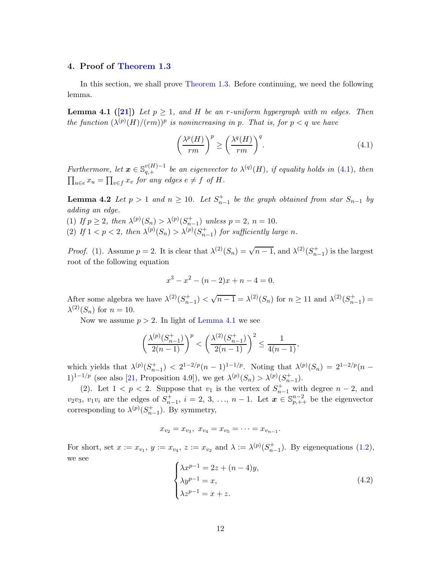# <span id="page-11-0"></span>4. Proof of [Theorem 1.3](#page-2-4)

<span id="page-11-2"></span>In this section, we shall prove [Theorem 1.3.](#page-2-4) Before continuing, we need the following lemma.

**Lemma 4.1** ([\[21\]](#page-15-1)) Let  $p \geq 1$ , and H be an r-uniform hypergraph with m edges. Then the function  $(\lambda^{(p)}(H)/(rm))^p$  is nonincreasing in p. That is, for  $p < q$  we have

<span id="page-11-1"></span>
$$
\left(\frac{\lambda^p(H)}{rm}\right)^p \ge \left(\frac{\lambda^q(H)}{rm}\right)^q.
$$
\n(4.1)

Furthermore, let  $\mathbf{x} \in \mathbb{S}_{q,+}^{v(H)-1}$  be an eigenvector to  $\lambda^{(q)}(H)$ , if equality holds in [\(4.1\)](#page-11-1), then  $\prod_{u \in e} x_u = \prod_{v \in f} x_v$  for any edges  $e \neq f$  of H.

<span id="page-11-4"></span>**Lemma 4.2** Let  $p > 1$  and  $n \ge 10$ . Let  $S_{n-1}^+$  be the graph obtained from star  $S_{n-1}$  by adding an edge.

- (1) If  $p \ge 2$ , then  $\lambda^{(p)}(S_n) > \lambda^{(p)}(S_{n-1}^+)$  unless  $p = 2$ ,  $n = 10$ .
- (2) If  $1 < p < 2$ , then  $\lambda^{(p)}(S_n) > \lambda^{(p)}(S_{n-1}^+)$  for sufficiently large n.

*Proof.* (1). Assume  $p = 2$ . It is clear that  $\lambda^{(2)}(S_n) = \sqrt{n-1}$ , and  $\lambda^{(2)}(S_{n-1}^+)$  is the largest root of the following equation

$$
x^3 - x^2 - (n-2)x + n - 4 = 0.
$$

After some algebra we have  $\lambda^{(2)}(S_{n-1}^+) < \sqrt{n-1} = \lambda^{(2)}(S_n)$  for  $n \ge 11$  and  $\lambda^{(2)}(S_{n-1}^+) =$  $\lambda^{(2)}(S_n)$  for  $n = 10$ .

Now we assume  $p > 2$ . In light of [Lemma 4.1](#page-11-2) we see

$$
\left(\frac{\lambda^{(p)}(S_{n-1}^+)}{2(n-1)}\right)^p < \left(\frac{\lambda^{(2)}(S_{n-1}^+)}{2(n-1)}\right)^2 \le \frac{1}{4(n-1)},
$$

which yields that  $\lambda^{(p)}(S_{n-1}^+) < 2^{1-2/p}(n-1)^{1-1/p}$ . Noting that  $\lambda^{(p)}(S_n) = 2^{1-2/p}(n-1)^{1-1/p}$ . 1)<sup>1-1/p</sup> (see also [\[21,](#page-15-1) Proposition 4.9]), we get  $\lambda^{(p)}(S_n) > \lambda^{(p)}(S_{n-1}^+)$ .

(2). Let  $1 < p < 2$ . Suppose that  $v_1$  is the vertex of  $S_{n-1}^+$  with degree  $n-2$ , and  $v_2v_3$ ,  $v_1v_i$  are the edges of  $S_{n-1}^+$ ,  $i=2, 3, ..., n-1$ . Let  $\boldsymbol{x} \in \mathbb{S}_{p,++}^{n-2}$  be the eigenvector corresponding to  $\lambda^{(p)}(S_{n-1}^+)$ . By symmetry,

$$
x_{v_2}=x_{v_3}, x_{v_4}=x_{v_5}=\cdots=x_{v_{n-1}}.
$$

<span id="page-11-3"></span>For short, set  $x := x_{v_1}, y := x_{v_4}, z := x_{v_2}$  and  $\lambda := \lambda^{(p)}(S_{n-1}^+)$ . By eigenequations [\(1.2\)](#page-1-4), we see

$$
\begin{cases}\n\lambda x^{p-1} = 2z + (n-4)y, \\
\lambda y^{p-1} = x, \\
\lambda z^{p-1} = x + z.\n\end{cases}
$$
\n(4.2)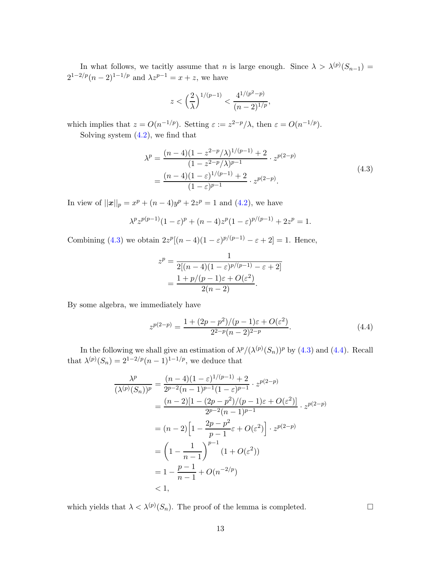In what follows, we tacitly assume that *n* is large enough. Since  $\lambda > \lambda^{(p)}(S_{n-1}) =$  $2^{1-2/p}(n-2)^{1-1/p}$  and  $\lambda z^{p-1} = x + z$ , we have

<span id="page-12-0"></span>
$$
z < \left(\frac{2}{\lambda}\right)^{1/(p-1)} < \frac{4^{1/(p^2-p)}}{(n-2)^{1/p}},
$$

which implies that  $z = O(n^{-1/p})$ . Setting  $\varepsilon := z^{2-p}/\lambda$ , then  $\varepsilon = O(n^{-1/p})$ .

Solving system  $(4.2)$ , we find that

$$
\lambda^{p} = \frac{(n-4)(1 - z^{2-p}/\lambda)^{1/(p-1)} + 2}{(1 - z^{2-p}/\lambda)^{p-1}} \cdot z^{p(2-p)} \n= \frac{(n-4)(1-\varepsilon)^{1/(p-1)} + 2}{(1-\varepsilon)^{p-1}} \cdot z^{p(2-p)}.
$$
\n(4.3)

In view of  $||x||_p = x^p + (n-4)y^p + 2z^p = 1$  and  $(4.2)$ , we have

$$
\lambda^p z^{p(p-1)} (1 - \varepsilon)^p + (n - 4) z^p (1 - \varepsilon)^{p/(p-1)} + 2z^p = 1.
$$

Combining [\(4.3\)](#page-12-0) we obtain  $2z^p[(n-4)(1-\varepsilon)^{p/(p-1)}-\varepsilon+2]=1$ . Hence,

$$
z^{p} = \frac{1}{2[(n-4)(1-\varepsilon)^{p/(p-1)} - \varepsilon + 2]}
$$
  
= 
$$
\frac{1 + p/(p-1)\varepsilon + O(\varepsilon^{2})}{2(n-2)}.
$$

By some algebra, we immediately have

<span id="page-12-1"></span>
$$
z^{p(2-p)} = \frac{1 + (2p - p^2)/(p - 1)\varepsilon + O(\varepsilon^2)}{2^{2-p}(n - 2)^{2-p}}.
$$
\n(4.4)

In the following we shall give an estimation of  $\lambda^p/(\lambda^{(p)}(S_n))^p$  by [\(4.3\)](#page-12-0) and [\(4.4\)](#page-12-1). Recall that  $\lambda^{(p)}(S_n) = 2^{1-2/p}(n-1)^{1-1/p}$ , we deduce that

$$
\frac{\lambda^p}{(\lambda^{(p)}(S_n))^p} = \frac{(n-4)(1-\varepsilon)^{1/(p-1)} + 2}{2^{p-2}(n-1)^{p-1}(1-\varepsilon)^{p-1}} \cdot z^{p(2-p)} \n= \frac{(n-2)[1 - (2p - p^2)/(p-1)\varepsilon + O(\varepsilon^2)]}{2^{p-2}(n-1)^{p-1}} \cdot z^{p(2-p)} \n= (n-2)\left[1 - \frac{2p - p^2}{p-1}\varepsilon + O(\varepsilon^2)\right] \cdot z^{p(2-p)} \n= \left(1 - \frac{1}{n-1}\right)^{p-1} (1 + O(\varepsilon^2)) \n= 1 - \frac{p-1}{n-1} + O(n^{-2/p}) \n< 1,
$$

which yields that  $\lambda < \lambda^{(p)}(S_n)$ . The proof of the lemma is completed.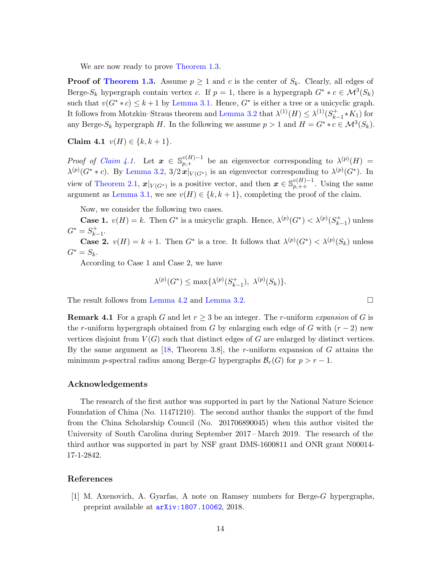We are now ready to prove [Theorem 1.3.](#page-2-4)

**Proof of [Theorem 1.3.](#page-2-4)** Assume  $p \geq 1$  and c is the center of  $S_k$ . Clearly, all edges of Berge-S<sub>k</sub> hypergraph contain vertex c. If  $p = 1$ , there is a hypergraph  $G^* * c \in \mathcal{M}^3(S_k)$ such that  $v(G^**c) \leq k+1$  by [Lemma 3.1.](#page-5-2) Hence,  $G^*$  is either a tree or a unicyclic graph. It follows from Motzkin–Straus theorem and [Lemma 3.2](#page-6-1) that  $\lambda^{(1)}(H) \leq \lambda^{(1)}(S^+_{k-1})$  $_{k-1}^{(+)}$ \* $K_1$ ) for any Berge- $S_k$  hypergraph H. In the following we assume  $p > 1$  and  $H = G^* * c \in \mathcal{M}^3(S_k)$ .

<span id="page-13-1"></span>Claim 4.1  $v(H) \in \{k, k+1\}.$ 

*Proof of Claim 4.1*. Let  $\boldsymbol{x} \in \mathbb{S}_{p,+}^{v(H)-1}$  be an eigenvector corresponding to  $\lambda^{(p)}(H)$  =  $\lambda^{(p)}(G^* * c)$ . By [Lemma 3.2,](#page-6-1)  $3/2x|_{V(G^*)}$  is an eigenvector corresponding to  $\lambda^{(p)}(G^*)$ . In view of [Theorem 2.1,](#page-2-5)  $x|_{V(G^*)}$  is a positive vector, and then  $x \in \mathbb{S}_{p,++}^{v(H)-1}$ . Using the same argument as [Lemma 3.1,](#page-5-2) we see  $v(H) \in \{k, k+1\}$ , completing the proof of the claim.

Now, we consider the following two cases.

**Case 1.**  $v(H) = k$ . Then  $G^*$  is a unicyclic graph. Hence,  $\lambda^{(p)}(G^*) < \lambda^{(p)}(S^*_{k})$ .  $\binom{+}{k-1}$  unless  $G^* = S^+_{k_1}$  $\frac{k+1}{k-1}$ .

**Case 2.**  $v(H) = k + 1$ . Then  $G^*$  is a tree. It follows that  $\lambda^{(p)}(G^*) < \lambda^{(p)}(S_k)$  unless  $G^* = S_k$ .

According to Case 1 and Case 2, we have

$$
\lambda^{(p)}(G^*) \le \max{\lambda^{(p)}(S_{k-1}^+), \lambda^{(p)}(S_k)}.
$$

The result follows from [Lemma 4.2](#page-11-4) and [Lemma 3.2.](#page-6-1)

**Remark 4.1** For a graph G and let  $r \geq 3$  be an integer. The r-uniform expansion of G is the r-uniform hypergraph obtained from G by enlarging each edge of G with  $(r-2)$  new vertices disjoint from  $V(G)$  such that distinct edges of G are enlarged by distinct vertices. By the same argument as [\[18,](#page-15-5) Theorem 3.8], the r-uniform expansion of  $G$  attains the minimum p-spectral radius among Berge-G hypergraphs  $\mathcal{B}_r(G)$  for  $p > r - 1$ .

# Acknowledgements

The research of the first author was supported in part by the National Nature Science Foundation of China (No. 11471210). The second author thanks the support of the fund from the China Scholarship Council (No. 201706890045) when this author visited the University of South Carolina during September 2017 – March 2019. The research of the third author was supported in part by NSF grant DMS-1600811 and ONR grant N00014- 17-1-2842.

# <span id="page-13-0"></span>References

[1] M. Axenovich, A. Gyarfas, A note on Ramsey numbers for Berge-G hypergraphs, preprint available at [arXiv:1807.10062](https://arxiv.org/abs/1807.10062), 2018.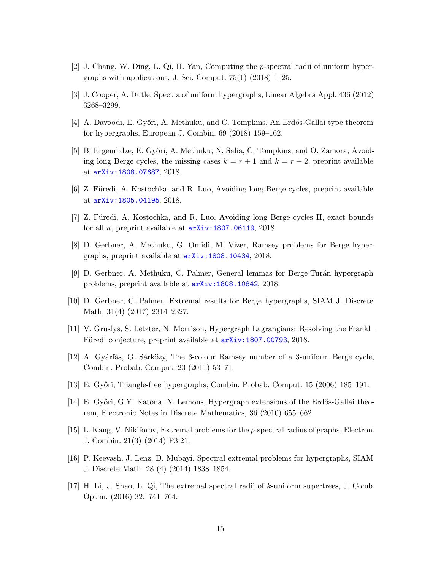- <span id="page-14-14"></span><span id="page-14-12"></span>[2] J. Chang, W. Ding, L. Qi, H. Yan, Computing the p-spectral radii of uniform hypergraphs with applications, J. Sci. Comput.  $75(1)$  (2018) 1–25.
- <span id="page-14-0"></span>[3] J. Cooper, A. Dutle, Spectra of uniform hypergraphs, Linear Algebra Appl. 436 (2012) 3268–3299.
- <span id="page-14-1"></span>[4] A. Davoodi, E. Győri, A. Methuku, and C. Tompkins, An Erdős-Gallai type theorem for hypergraphs, European J. Combin. 69 (2018) 159–162.
- [5] B. Ergemlidze, E. Győri, A. Methuku, N. Salia, C. Tompkins, and O. Zamora, Avoiding long Berge cycles, the missing cases  $k = r + 1$  and  $k = r + 2$ , preprint available at [arXiv:1808.07687](https://arxiv.org/abs/1808.07687), 2018.
- <span id="page-14-3"></span><span id="page-14-2"></span>[6] Z. Füredi, A. Kostochka, and R. Luo, Avoiding long Berge cycles, preprint available at [arXiv:1805.04195](https://arxiv.org/abs/1805.04195), 2018.
- <span id="page-14-8"></span>[7] Z. Füredi, A. Kostochka, and R. Luo, Avoiding long Berge cycles II, exact bounds for all *n*, preprint available at  $arXiv:1807.06119, 2018$  $arXiv:1807.06119, 2018$ .
- <span id="page-14-4"></span>[8] D. Gerbner, A. Methuku, G. Omidi, M. Vizer, Ramsey problems for Berge hypergraphs, preprint available at [arXiv:1808.10434](https://arxiv.org/abs/1808.10434), 2018.
- <span id="page-14-5"></span>[9] D. Gerbner, A. Methuku, C. Palmer, General lemmas for Berge-Turán hypergraph problems, preprint available at [arXiv:1808.10842](https://arxiv.org/abs/1808.10842), 2018.
- <span id="page-14-13"></span>[10] D. Gerbner, C. Palmer, Extremal results for Berge hypergraphs, SIAM J. Discrete Math. 31(4) (2017) 2314–2327.
- <span id="page-14-9"></span>[11] V. Gruslys, S. Letzter, N. Morrison, Hypergraph Lagrangians: Resolving the Frankl– Füredi conjecture, preprint available at  $arXiv:1807.00793, 2018$  $arXiv:1807.00793, 2018$ .
- <span id="page-14-6"></span>[12] A. Gyárfás, G. Sárközy, The 3-colour Ramsey number of a 3-uniform Berge cycle, Combin. Probab. Comput. 20 (2011) 53–71.
- <span id="page-14-7"></span>[13] E. Győri, Triangle-free hypergraphs, Combin. Probab. Comput. 15 (2006) 185–191.
- <span id="page-14-11"></span>[14] E. Győri, G.Y. Katona, N. Lemons, Hypergraph extensions of the Erdős-Gallai theorem, Electronic Notes in Discrete Mathematics, 36 (2010) 655–662.
- <span id="page-14-10"></span>[15] L. Kang, V. Nikiforov, Extremal problems for the p-spectral radius of graphs, Electron. J. Combin. 21(3) (2014) P3.21.
- <span id="page-14-15"></span>[16] P. Keevash, J. Lenz, D. Mubayi, Spectral extremal problems for hypergraphs, SIAM J. Discrete Math. 28 (4) (2014) 1838–1854.
- [17] H. Li, J. Shao, L. Qi, The extremal spectral radii of k-uniform supertrees, J. Comb. Optim. (2016) 32: 741–764.